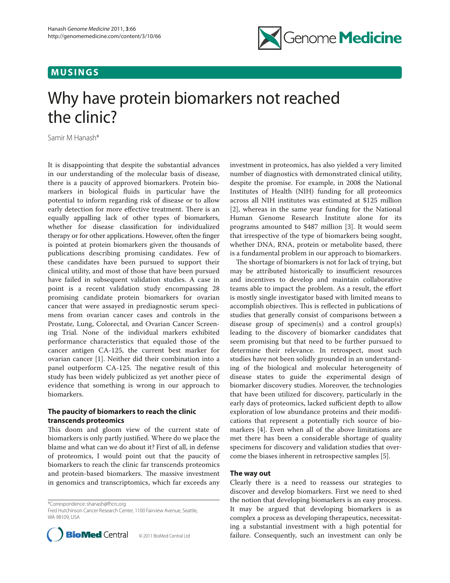## **MUSINGS**



# Why have protein biomarkers not reached the clinic?

Samir M Hanash\*

It is disappointing that despite the substantial advances in our understanding of the molecular basis of disease, there is a paucity of approved biomarkers. Protein biomarkers in biological fluids in particular have the potential to inform regarding risk of disease or to allow early detection for more effective treatment. There is an equally appalling lack of other types of biomarkers, whether for disease classification for individualized therapy or for other applications. However, often the finger is pointed at protein biomarkers given the thousands of publications describing promising candidates. Few of these candidates have been pursued to support their clinical utility, and most of those that have been pursued have failed in subsequent validation studies. A case in point is a recent validation study encompassing 28 promising candidate protein biomarkers for ovarian cancer that were assayed in prediagnostic serum specimens from ovarian cancer cases and controls in the Prostate, Lung, Colorectal, and Ovarian Cancer Screening Trial. None of the individual markers exhibited performance characteristics that equaled those of the cancer antigen CA-125, the current best marker for ovarian cancer [1]. Neither did their combination into a panel outperform CA-125. The negative result of this study has been widely publicized as yet another piece of evidence that something is wrong in our approach to biomarkers.

## **The paucity of biomarkers to reach the clinic transcends proteomics**

This doom and gloom view of the current state of biomarkers is only partly justified. Where do we place the blame and what can we do about it? First of all, in defense of proteomics, I would point out that the paucity of biomarkers to reach the clinic far transcends proteomics and protein-based biomarkers. The massive investment in genomics and transcriptomics, which far exceeds any

\*Correspondence: shanash@fhcrc.org

Fred Hutchinson Cancer Research Center, 1100 Fairview Avenue, Seattle, WA 98109 USA



investment in proteomics, has also yielded a very limited number of diagnostics with demonstrated clinical utility, despite the promise. For example, in 2008 the National Institutes of Health (NIH) funding for all proteomics across all NIH institutes was estimated at \$125 million [2], whereas in the same year funding for the National Human Genome Research Institute alone for its programs amounted to \$487 million [3]. It would seem that irrespective of the type of biomarkers being sought, whether DNA, RNA, protein or metabolite based, there is a fundamental problem in our approach to biomarkers.

The shortage of biomarkers is not for lack of trying, but may be attributed historically to insufficient resources and incentives to develop and maintain collaborative teams able to impact the problem. As a result, the effort is mostly single investigator based with limited means to accomplish objectives. This is reflected in publications of studies that generally consist of comparisons between a disease group of specimen(s) and a control group(s) leading to the discovery of biomarker candidates that seem promising but that need to be further pursued to determine their relevance. In retrospect, most such studies have not been solidly grounded in an understanding of the biological and molecular heterogeneity of disease states to guide the experimental design of biomarker discovery studies. Moreover, the technologies that have been utilized for discovery, particularly in the early days of proteomics, lacked sufficient depth to allow exploration of low abundance proteins and their modifications that represent a potentially rich source of biomarkers [4]. Even when all of the above limitations are met there has been a considerable shortage of quality specimens for discovery and validation studies that overcome the biases inherent in retrospective samples [5].

### **The way out**

Clearly there is a need to reassess our strategies to discover and develop biomarkers. First we need to shed the notion that developing biomarkers is an easy process. It may be argued that developing biomarkers is as complex a process as developing therapeutics, necessitating a substantial investment with a high potential for **BioMed** Central © 2011 BioMed Central Ltd failure. Consequently, such an investment can only be